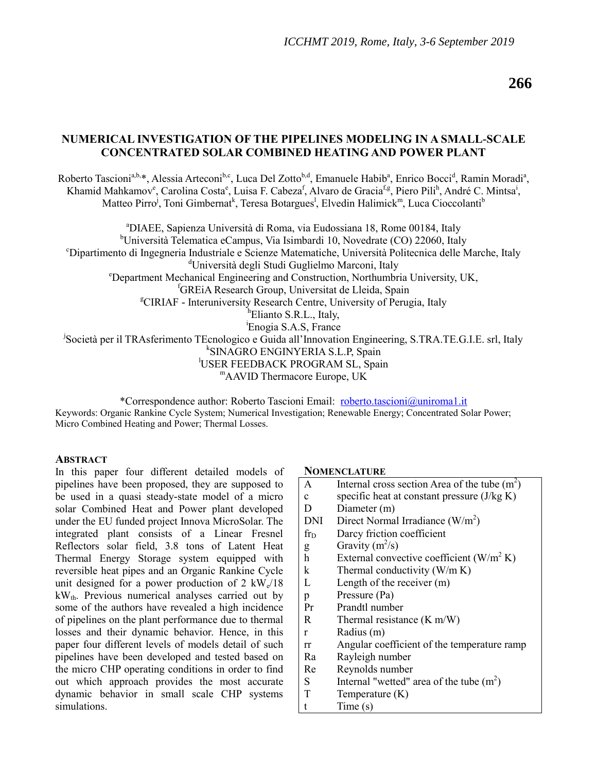# **NUMERICAL INVESTIGATION OF THE PIPELINES MODELING IN A SMALL-SCALE CONCENTRATED SOLAR COMBINED HEATING AND POWER PLANT**

Roberto Tascioni<sup>a,b,\*</sup>, Alessia Arteconi<sup>b,c</sup>, Luca Del Zotto<sup>b,d</sup>, Emanuele Habib<sup>a</sup>, Enrico Bocci<sup>d</sup>, Ramin Moradi<sup>a</sup>, Khamid Mahkamov<sup>e</sup>, Carolina Costa<sup>e</sup>, Luisa F. Cabeza<sup>f</sup>, Alvaro de Gracia<sup>f,g</sup>, Piero Pili<sup>h</sup>, André C. Mintsa<sup>i</sup>, Matteo Pirro<sup>j</sup>, Toni Gimbernat<sup>k</sup>, Teresa Botargues<sup>1</sup>, Elvedin Halimick<sup>m</sup>, Luca Cioccolanti<sup>b</sup>

<sup>a</sup>DIAEE, Sapienza Università di Roma, via Eudossiana 18, Rome 00184, Italy <sup>b</sup>Università Telematica eCampus, Via Isimbardi 10, Novedrate (CO) 22060, Italy <sup>c</sup>Dipartimento di Ingegneria Industriale e Scienze Matematiche, Università Politecnica delle Marche, Italy <sup>d</sup>Università degli Studi Guglielmo Marconi, Italy <sup>e</sup>Department Mechanical Engineering and Construction, Northumbria University, UK, <sup>f</sup>GREiA Research Group, Universitat de Lleida, Spain <sup>g</sup>CIRIAF - Interuniversity Research Centre, University of Perugia, Italy <sup>h</sup>Elianto S.R.L., Italy, <sup>i</sup>Enogia S.A.S, France j Società per il TRAsferimento TEcnologico e Guida all'Innovation Engineering, S.TRA.TE.G.I.E. srl, Italy k SINAGRO ENGINYERIA S.L.P, Spain <sup>l</sup>USER FEEDBACK PROGRAM SL, Spain <sup>m</sup>AAVID Thermacore Europe, UK

\*Correspondence author: Roberto Tascioni Email: [roberto.tascioni@uniroma1.it](mailto:roberto.tascioni@uniroma1.it) Keywords: Organic Rankine Cycle System; Numerical Investigation; Renewable Energy; Concentrated Solar Power; Micro Combined Heating and Power; Thermal Losses.

#### **ABSTRACT**

In this paper four different detailed models of pipelines have been proposed, they are supposed to be used in a quasi steady-state model of a micro solar Combined Heat and Power plant developed under the EU funded project Innova MicroSolar. The integrated plant consists of a Linear Fresnel Reflectors solar field, 3.8 tons of Latent Heat Thermal Energy Storage system equipped with reversible heat pipes and an Organic Rankine Cycle unit designed for a power production of 2  $kW_e/18$  $kW_{th}$ . Previous numerical analyses carried out by some of the authors have revealed a high incidence of pipelines on the plant performance due to thermal losses and their dynamic behavior. Hence, in this paper four different levels of models detail of such pipelines have been developed and tested based on the micro CHP operating conditions in order to find out which approach provides the most accurate dynamic behavior in small scale CHP systems simulations.

#### **NOMENCLATURE**

| A            | Internal cross section Area of the tube $(m2)$ |
|--------------|------------------------------------------------|
| $\mathbf{c}$ | specific heat at constant pressure $(J/kg K)$  |
| D            | Diameter (m)                                   |
| <b>DNI</b>   | Direct Normal Irradiance $(W/m^2)$             |
| $fr_D$       | Darcy friction coefficient                     |
| g            | Gravity $(m^2/s)$                              |
| $\mathbf h$  | External convective coefficient $(W/m^2 K)$    |
| k            | Thermal conductivity $(W/m K)$                 |
| L            | Length of the receiver $(m)$                   |
| p            | Pressure (Pa)                                  |
| Pr           | Prandtl number                                 |
| R            | Thermal resistance $(K m/W)$                   |
| $\mathbf{r}$ | Radius (m)                                     |
| rr           | Angular coefficient of the temperature ramp    |
| Ra           | Rayleigh number                                |
| Re           | Reynolds number                                |
| S            | Internal "wetted" area of the tube $(m2)$      |
| T            | Temperature $(K)$                              |
| t            | Time(s)                                        |
|              |                                                |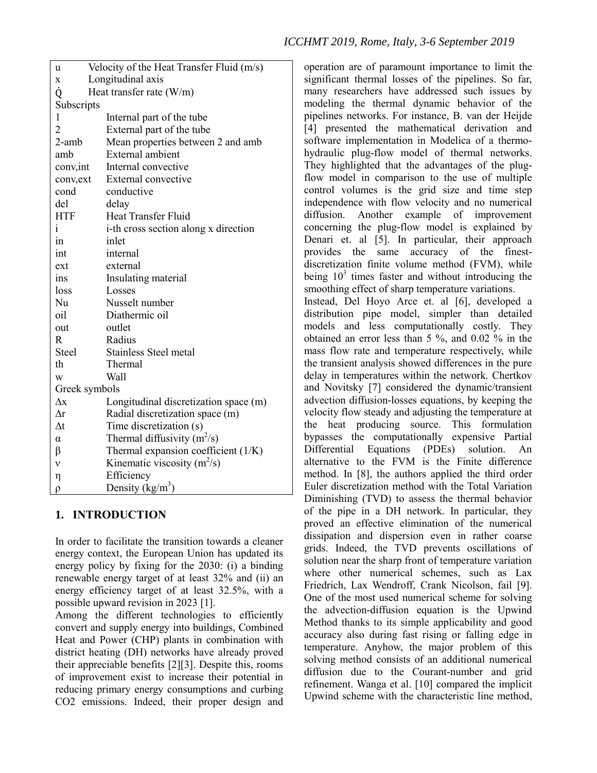| u                      | Velocity of the Heat Transfer Fluid (m/s) |  |  |  |
|------------------------|-------------------------------------------|--|--|--|
| Longitudinal axis<br>X |                                           |  |  |  |
| Ò                      | Heat transfer rate $(W/m)$                |  |  |  |
| Subscripts             |                                           |  |  |  |
| 1                      | Internal part of the tube                 |  |  |  |
| $\overline{2}$         | External part of the tube                 |  |  |  |
| $2$ -amb               | Mean properties between 2 and amb         |  |  |  |
| amb                    | External ambient                          |  |  |  |
| conv, int              | Internal convective                       |  |  |  |
| conv, ext              | External convective                       |  |  |  |
| cond                   | conductive                                |  |  |  |
| del                    | delay                                     |  |  |  |
| <b>HTF</b>             | <b>Heat Transfer Fluid</b>                |  |  |  |
| $\mathbf{i}$           | i-th cross section along x direction      |  |  |  |
| 1n                     | inlet                                     |  |  |  |
| int                    | internal                                  |  |  |  |
| ext                    | external                                  |  |  |  |
| ins                    | Insulating material                       |  |  |  |
| loss                   | Losses                                    |  |  |  |
| Nu                     | Nusselt number                            |  |  |  |
| oil                    | Diathermic oil                            |  |  |  |
| out                    | outlet                                    |  |  |  |
| $\mathbf R$            | Radius                                    |  |  |  |
| Steel                  | <b>Stainless Steel metal</b>              |  |  |  |
| th                     | Thermal                                   |  |  |  |
| W                      | Wall                                      |  |  |  |
| Greek symbols          |                                           |  |  |  |
| $\Delta x$             | Longitudinal discretization space (m)     |  |  |  |
| $\Lambda r$            | Radial discretization space (m)           |  |  |  |
| $\Delta t$             | Time discretization (s)                   |  |  |  |
| $\alpha$               | Thermal diffusivity $(m^2/s)$             |  |  |  |
| β                      | Thermal expansion coefficient (1/K)       |  |  |  |
| ν                      | Kinematic viscosity $(m^2/s)$             |  |  |  |
| η                      | Efficiency                                |  |  |  |
| ρ                      | Density (kg/m <sup>3</sup> )              |  |  |  |

# **1. INTRODUCTION**

In order to facilitate the transition towards a cleaner energy context, the European Union has updated its energy policy by fixing for the 2030: (i) a binding renewable energy target of at least 32% and (ii) an energy efficiency target of at least 32.5%, with a possible upward revision in 2023 [1].

Among the different technologies to efficiently convert and supply energy into buildings, Combined Heat and Power (CHP) plants in combination with district heating (DH) networks have already proved their appreciable benefits [2][3]. Despite this, rooms of improvement exist to increase their potential in reducing primary energy consumptions and curbing CO2 emissions. Indeed, their proper design and

operation are of paramount importance to limit the significant thermal losses of the pipelines. So far, many researchers have addressed such issues by modeling the thermal dynamic behavior of the pipelines networks. For instance, B. van der Heijde [4] presented the mathematical derivation and software implementation in Modelica of a thermohydraulic plug-flow model of thermal networks. They highlighted that the advantages of the plugflow model in comparison to the use of multiple control volumes is the grid size and time step independence with flow velocity and no numerical diffusion. Another example of improvement concerning the plug-flow model is explained by Denari et. al [5]. In particular, their approach provides the same accuracy of the finestdiscretization finite volume method (FVM), while being  $10<sup>3</sup>$  times faster and without introducing the smoothing effect of sharp temperature variations. Instead, Del Hoyo Arce et. al [6], developed a distribution pipe model, simpler than detailed models and less computationally costly. They obtained an error less than 5 %, and 0.02 % in the mass flow rate and temperature respectively, while the transient analysis showed differences in the pure delay in temperatures within the network. Chertkov and Novitsky [7] considered the dynamic/transient advection diffusion-losses equations, by keeping the velocity flow steady and adjusting the temperature at the heat producing source. This formulation bypasses the computationally expensive Partial Differential Equations (PDEs) solution. An alternative to the FVM is the Finite difference method. In [8], the authors applied the third order Euler discretization method with the Total Variation Diminishing (TVD) to assess the thermal behavior of the pipe in a DH network. In particular, they proved an effective elimination of the numerical dissipation and dispersion even in rather coarse grids. Indeed, the TVD prevents oscillations of solution near the sharp front of temperature variation where other numerical schemes, such as Lax Friedrich, Lax Wendroff, Crank Nicolson, fail [9]. One of the most used numerical scheme for solving the advection-diffusion equation is the Upwind Method thanks to its simple applicability and good accuracy also during fast rising or falling edge in temperature. Anyhow, the major problem of this solving method consists of an additional numerical diffusion due to the Courant-number and grid refinement. Wanga et al. [10] compared the implicit Upwind scheme with the characteristic line method,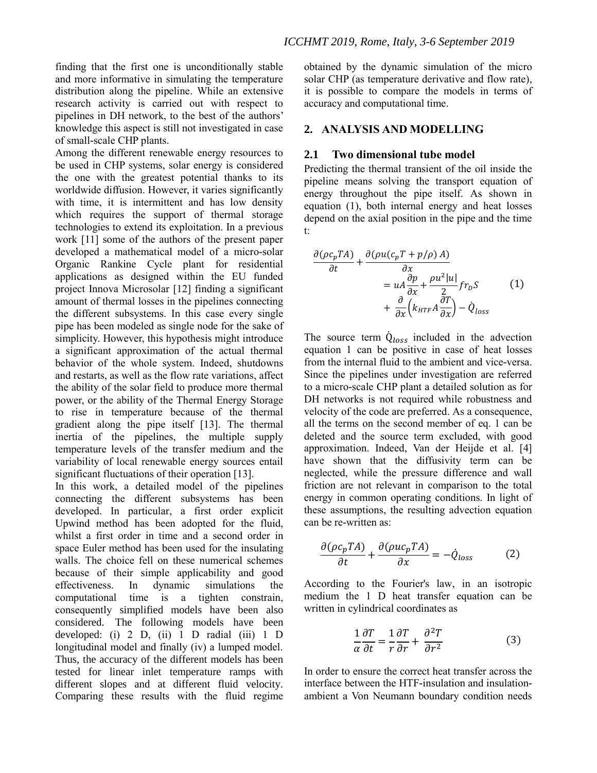finding that the first one is unconditionally stable and more informative in simulating the temperature distribution along the pipeline. While an extensive research activity is carried out with respect to pipelines in DH network, to the best of the authors' knowledge this aspect is still not investigated in case of small-scale CHP plants.

Among the different renewable energy resources to be used in CHP systems, solar energy is considered the one with the greatest potential thanks to its worldwide diffusion. However, it varies significantly with time, it is intermittent and has low density which requires the support of thermal storage technologies to extend its exploitation. In a previous work [11] some of the authors of the present paper developed a mathematical model of a micro-solar Organic Rankine Cycle plant for residential applications as designed within the EU funded project Innova Microsolar [12] finding a significant amount of thermal losses in the pipelines connecting the different subsystems. In this case every single pipe has been modeled as single node for the sake of simplicity. However, this hypothesis might introduce a significant approximation of the actual thermal behavior of the whole system. Indeed, shutdowns and restarts, as well as the flow rate variations, affect the ability of the solar field to produce more thermal power, or the ability of the Thermal Energy Storage to rise in temperature because of the thermal gradient along the pipe itself [13]. The thermal inertia of the pipelines, the multiple supply temperature levels of the transfer medium and the variability of local renewable energy sources entail significant fluctuations of their operation [13].

In this work, a detailed model of the pipelines connecting the different subsystems has been developed. In particular, a first order explicit Upwind method has been adopted for the fluid, whilst a first order in time and a second order in space Euler method has been used for the insulating walls. The choice fell on these numerical schemes because of their simple applicability and good effectiveness. In dynamic simulations the computational time is a tighten constrain, consequently simplified models have been also considered. The following models have been developed: (i) 2 D, (ii) 1 D radial (iii) 1 D longitudinal model and finally (iv) a lumped model. Thus, the accuracy of the different models has been tested for linear inlet temperature ramps with different slopes and at different fluid velocity. Comparing these results with the fluid regime

obtained by the dynamic simulation of the micro solar CHP (as temperature derivative and flow rate), it is possible to compare the models in terms of accuracy and computational time.

## **2. ANALYSIS AND MODELLING**

#### **2.1 Two dimensional tube model**

Predicting the thermal transient of the oil inside the pipeline means solving the transport equation of energy throughout the pipe itself. As shown in equation (1), both internal energy and heat losses depend on the axial position in the pipe and the time t:

$$
\frac{\partial (\rho c_p T A)}{\partial t} + \frac{\partial (\rho u (c_p T + p/\rho) A)}{\partial x} \n= uA \frac{\partial p}{\partial x} + \frac{\rho u^2 |u|}{2} f r_p S \qquad (1) \n+ \frac{\partial}{\partial x} \left( k_{HTF} A \frac{\partial T}{\partial x} \right) - \dot{Q}_{loss}
$$

The source term  $\dot{Q}_{loss}$  included in the advection equation 1 can be positive in case of heat losses from the internal fluid to the ambient and vice-versa. Since the pipelines under investigation are referred to a micro-scale CHP plant a detailed solution as for DH networks is not required while robustness and velocity of the code are preferred. As a consequence, all the terms on the second member of eq. 1 can be deleted and the source term excluded, with good approximation. Indeed, Van der Heijde et al. [4] have shown that the diffusivity term can be neglected, while the pressure difference and wall friction are not relevant in comparison to the total energy in common operating conditions. In light of these assumptions, the resulting advection equation can be re-written as:

$$
\frac{\partial(\rho c_p T A)}{\partial t} + \frac{\partial(\rho u c_p T A)}{\partial x} = -\dot{Q}_{loss}
$$
 (2)

According to the Fourier's law, in an isotropic medium the 1 D heat transfer equation can be written in cylindrical coordinates as

$$
\frac{1}{\alpha} \frac{\partial T}{\partial t} = \frac{1}{r} \frac{\partial T}{\partial r} + \frac{\partial^2 T}{\partial r^2}
$$
(3)

In order to ensure the correct heat transfer across the interface between the HTF-insulation and insulationambient a Von Neumann boundary condition needs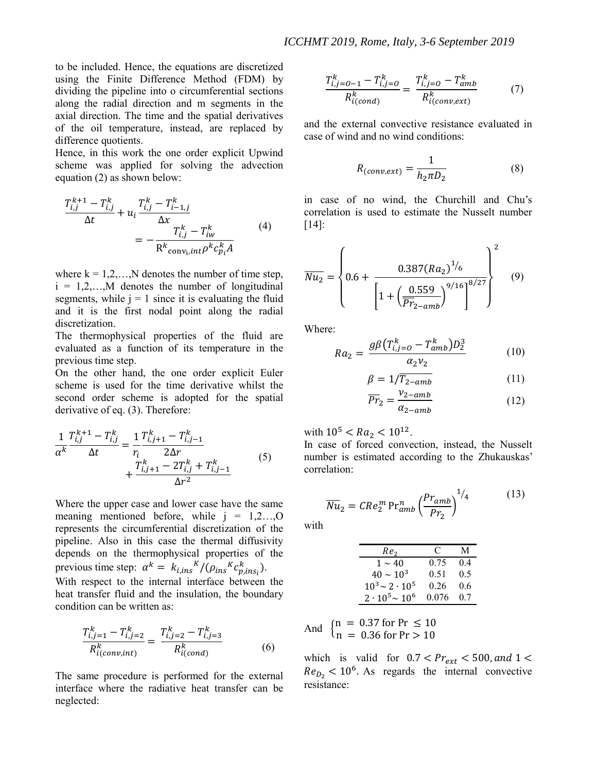to be included. Hence, the equations are discretized using the Finite Difference Method (FDM) by dividing the pipeline into o circumferential sections along the radial direction and m segments in the axial direction. The time and the spatial derivatives of the oil temperature, instead, are replaced by difference quotients.

Hence, in this work the one order explicit Upwind scheme was applied for solving the advection equation (2) as shown below:

$$
\frac{T_{i,j}^{k+1} - T_{i,j}^k}{\Delta t} + u_i \frac{T_{i,j}^k - T_{i-1,j}^k}{\Delta x} = -\frac{T_{i,j}^k - T_{iw}^k}{R^k \text{conv}_i, int} \rho^k c_{p_i}^k A}
$$
(4)

where  $k = 1, 2, \ldots, N$  denotes the number of time step,  $i = 1, 2, \ldots, M$  denotes the number of longitudinal segments, while  $j = 1$  since it is evaluating the fluid and it is the first nodal point along the radial discretization.

The thermophysical properties of the fluid are evaluated as a function of its temperature in the previous time step.

On the other hand, the one order explicit Euler scheme is used for the time derivative whilst the second order scheme is adopted for the spatial derivative of eq. (3). Therefore:

$$
\frac{1}{\alpha^{k}} \frac{T_{i,j}^{k+1} - T_{i,j}^{k}}{\Delta t} = \frac{1}{r_i} \frac{T_{i,j+1}^{k} - T_{i,j-1}^{k}}{2\Delta r} + \frac{T_{i,j+1}^{k} - 2T_{i,j}^{k} + T_{i,j-1}^{k}}{\Delta r^2}
$$
(5)

Where the upper case and lower case have the same meaning mentioned before, while  $i = 1,2,...,O$ represents the circumferential discretization of the pipeline. Also in this case the thermal diffusivity depends on the thermophysical properties of the previous time step:  $\alpha^k = k_{i, ins}^{K}/(\rho_{ins}^{K} c_{p, ins_i}^{k}).$ With respect to the internal interface between the heat transfer fluid and the insulation, the boundary condition can be written as:

$$
\frac{T_{i,j=1}^k - T_{i,j=2}^k}{R_{i(conv, int)}^k} = \frac{T_{i,j=2}^k - T_{i,j=3}^k}{R_{i(cond)}^k}
$$
(6)

The same procedure is performed for the external interface where the radiative heat transfer can be neglected:

$$
\frac{T_{i,j=0-1}^{k} - T_{i,j=0}^{k}}{R_{i(cond)}^{k}} = \frac{T_{i,j=0}^{k} - T_{amb}^{k}}{R_{i(conv,ext)}^{k}}
$$
(7)

and the external convective resistance evaluated in case of wind and no wind conditions:

$$
R_{(conv, ext)} = \frac{1}{h_2 \pi D_2}
$$
 (8)

in case of no wind, the Churchill and Chu's correlation is used to estimate the Nusselt number [14]:

$$
\overline{Nu_2} = \left\{ 0.6 + \frac{0.387 (Ra_2)^{1/6}}{\left[ 1 + \left( \frac{0.559}{\overline{Pr}_{2-amb}} \right)^{9/16} \right]^{8/27}} \right\} \tag{9}
$$

Where:

$$
Ra_2 = \frac{g\beta (T_{i,j=0}^k - T_{amb}^k)D_2^3}{\alpha_2 v_2} \tag{10}
$$

$$
\beta = 1/\overline{T_{2-amb}}\tag{11}
$$

$$
\overline{Pr}_2 = \frac{v_{2-amb}}{\alpha_{2-amb}}\tag{12}
$$

with  $10^5 < Ra_2 < 10^{12}$ .

In case of forced convection, instead, the Nusselt number is estimated according to the Zhukauskas' correlation:

$$
\overline{Nu}_2 = CRe_2^m Pr_{amb}^n \left(\frac{Pr_{amb}}{Pr_2}\right)^{1/4} \tag{13}
$$

with

| Re <sub>2</sub>          | €     | М   |
|--------------------------|-------|-----|
| $1 \sim 40$              | 0.75  | 04  |
| $40 \sim 10^{3}$         | 0.51  | 0.5 |
| $10^3 \sim 2 \cdot 10^5$ | 0.26  | 0.6 |
| $2 \cdot 10^5 \sim 10^6$ | 0.076 | 07  |

And 
$$
\begin{cases} n = 0.37 \text{ for Pr } \le 10 \\ n = 0.36 \text{ for Pr } > 10 \end{cases}
$$

which is valid for  $0.7 < Pr_{ext} < 500$ , and  $1 <$  $Re_{D_2}$  < 10<sup>6</sup>. As regards the internal convective resistance: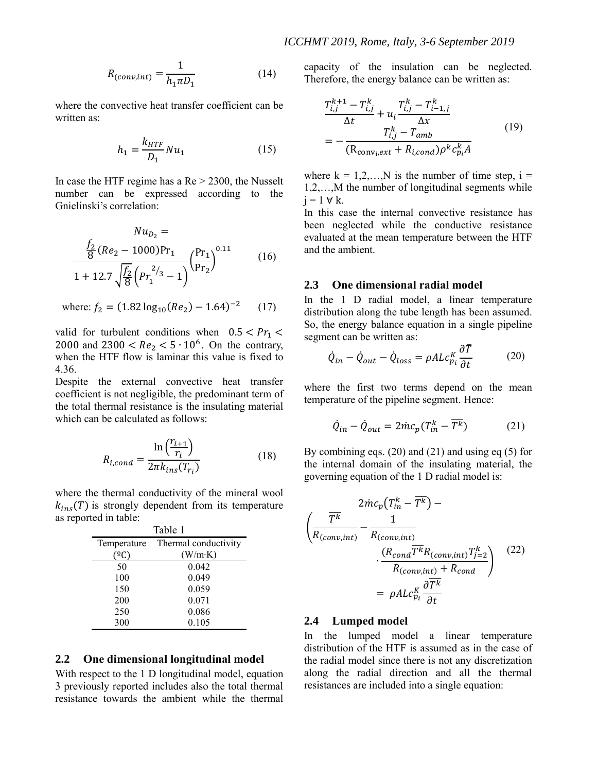$$
R_{(conv, int)} = \frac{1}{h_1 \pi D_1} \tag{14}
$$

where the convective heat transfer coefficient can be written as:

$$
h_1 = \frac{k_{HTF}}{D_1} Nu_1 \tag{15}
$$

In case the HTF regime has a  $Re > 2300$ , the Nusselt number can be expressed according to the Gnielinski's correlation:

$$
Nu_{D_2} = \frac{f_2}{8}(Re_2 - 1000)Pr_1 \frac{p_{r_1}}{1 + 12.7\sqrt{\frac{f_2}{8}}(Pr_1^{2/3} - 1)} \left(\frac{Pr_1}{Pr_2}\right)^{0.11} \tag{16}
$$

where: 
$$
f_2 = (1.82 \log_{10}(Re_2) - 1.64)^{-2}
$$
 (17)

valid for turbulent conditions when  $0.5 < Pr_1 <$ 2000 and  $2300 < Re<sub>2</sub> < 5 \cdot 10<sup>6</sup>$ . On the contrary, when the HTF flow is laminar this value is fixed to 4.36.

Despite the external convective heat transfer coefficient is not negligible, the predominant term of the total thermal resistance is the insulating material which can be calculated as follows:

$$
R_{i,cond} = \frac{\ln\left(\frac{r_{i+1}}{r_i}\right)}{2\pi k_{ins}(T_{r_i})}
$$
(18)

where the thermal conductivity of the mineral wool  $k_{ins}(T)$  is strongly dependent from its temperature as reported in table:

| Table 1     |                      |  |  |
|-------------|----------------------|--|--|
| Temperature | Thermal conductivity |  |  |
|             | (W/m·K)              |  |  |
| 50          | 0.042                |  |  |
| 100         | 0.049                |  |  |
| 150         | 0.059                |  |  |
| 200         | 0.071                |  |  |
| 250         | 0.086                |  |  |
| 300         | 0.105                |  |  |

## **2.2 One dimensional longitudinal model**

With respect to the 1 D longitudinal model, equation 3 previously reported includes also the total thermal resistance towards the ambient while the thermal capacity of the insulation can be neglected. Therefore, the energy balance can be written as:

$$
\frac{T_{i,j}^{k+1} - T_{i,j}^k}{\Delta t} + u_i \frac{T_{i,j}^k - T_{i-1,j}^k}{\Delta x}
$$
\n
$$
= -\frac{T_{i,j}^k - T_{amb}}{(R_{conv_i,ext} + R_{i,cond})\rho^k c_{p_i}^k A}
$$
\n(19)

where  $k = 1, 2, \dots, N$  is the number of time step,  $i =$ 1,2,…,M the number of longitudinal segments while  $i = 1 \forall k$ .

In this case the internal convective resistance has been neglected while the conductive resistance evaluated at the mean temperature between the HTF and the ambient.

### **2.3 One dimensional radial model**

In the 1 D radial model, a linear temperature distribution along the tube length has been assumed. So, the energy balance equation in a single pipeline segment can be written as:  $\overline{a}$ 

$$
\dot{Q}_{in} - \dot{Q}_{out} - \dot{Q}_{loss} = \rho A L c_{pi}^{K} \frac{\partial T}{\partial t}
$$
 (20)

where the first two terms depend on the mean temperature of the pipeline segment. Hence:

$$
\dot{Q}_{in} - \dot{Q}_{out} = 2\dot{m}c_p(T_{in}^k - \overline{T^k})
$$
 (21)

By combining eqs.  $(20)$  and  $(21)$  and using eq  $(5)$  for the internal domain of the insulating material, the governing equation of the 1 D radial model is:

$$
\frac{2\dot{m}c_p(T_{in}^k - \overline{T^k}) - \sqrt{\overline{R^k}}}{R_{(conv, int)}} - \frac{1}{R_{(conv, int)}}
$$
\n
$$
\cdot \frac{(R_{conv, int})^T \overline{T^k} R_{(conv, int)} T_{j=2}^k}{R_{(conv, int)} + R_{cond}}
$$
\n
$$
= \rho A L c_{p_i}^K \frac{\partial \overline{T^k}}{\partial t}
$$
\n(22)

#### **2.4 Lumped model**

In the lumped model a linear temperature distribution of the HTF is assumed as in the case of the radial model since there is not any discretization along the radial direction and all the thermal resistances are included into a single equation: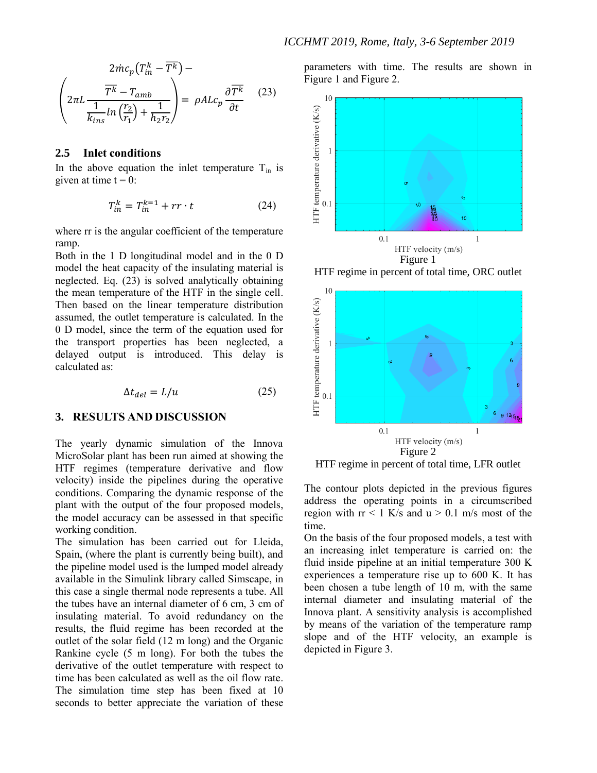$$
2\dot{m}c_p(T_{in}^k - \overline{T^k}) -
$$
\n
$$
\left(2\pi L \frac{\overline{T^k} - T_{amb}}{\frac{1}{k_{ins}} \ln\left(\frac{r_2}{r_1}\right) + \frac{1}{h_2 r_2}}\right) = \rho A L c_p \frac{\partial \overline{T^k}}{\partial t} \qquad (23)
$$

### **2.5 Inlet conditions**

In the above equation the inlet temperature  $T_{in}$  is given at time  $t = 0$ :

$$
T_{in}^k = T_{in}^{k=1} + rr \cdot t \tag{24}
$$

where  $rr$  is the angular coefficient of the temperature ramp.

Both in the 1 D longitudinal model and in the 0 D model the heat capacity of the insulating material is neglected. Eq. (23) is solved analytically obtaining the mean temperature of the HTF in the single cell. Then based on the linear temperature distribution assumed, the outlet temperature is calculated. In the 0 D model, since the term of the equation used for the transport properties has been neglected, a delayed output is introduced. This delay is calculated as:

$$
\Delta t_{del} = L/u \tag{25}
$$

### **3. RESULTS AND DISCUSSION**

The yearly dynamic simulation of the Innova MicroSolar plant has been run aimed at showing the HTF regimes (temperature derivative and flow velocity) inside the pipelines during the operative conditions. Comparing the dynamic response of the plant with the output of the four proposed models, the model accuracy can be assessed in that specific working condition.

The simulation has been carried out for Lleida, Spain, (where the plant is currently being built), and the pipeline model used is the lumped model already available in the Simulink library called Simscape, in this case a single thermal node represents a tube. All the tubes have an internal diameter of 6 cm, 3 cm of insulating material. To avoid redundancy on the results, the fluid regime has been recorded at the outlet of the solar field (12 m long) and the Organic Rankine cycle (5 m long). For both the tubes the derivative of the outlet temperature with respect to time has been calculated as well as the oil flow rate. The simulation time step has been fixed at 10 seconds to better appreciate the variation of these

parameters with time. The results are shown in [Figure 1](#page-5-0) and [Figure 2.](#page-5-1)



<span id="page-5-0"></span>HTF regime in percent of total time, ORC outlet



<span id="page-5-1"></span>HTF regime in percent of total time, LFR outlet

The contour plots depicted in the previous figures address the operating points in a circumscribed region with  $rr < 1$  K/s and  $u > 0.1$  m/s most of the time.

On the basis of the four proposed models, a test with an increasing inlet temperature is carried on: the fluid inside pipeline at an initial temperature 300 K experiences a temperature rise up to 600 K. It has been chosen a tube length of 10 m, with the same internal diameter and insulating material of the Innova plant. A sensitivity analysis is accomplished by means of the variation of the temperature ramp slope and of the HTF velocity, an example is depicted in [Figure 3.](#page-6-0)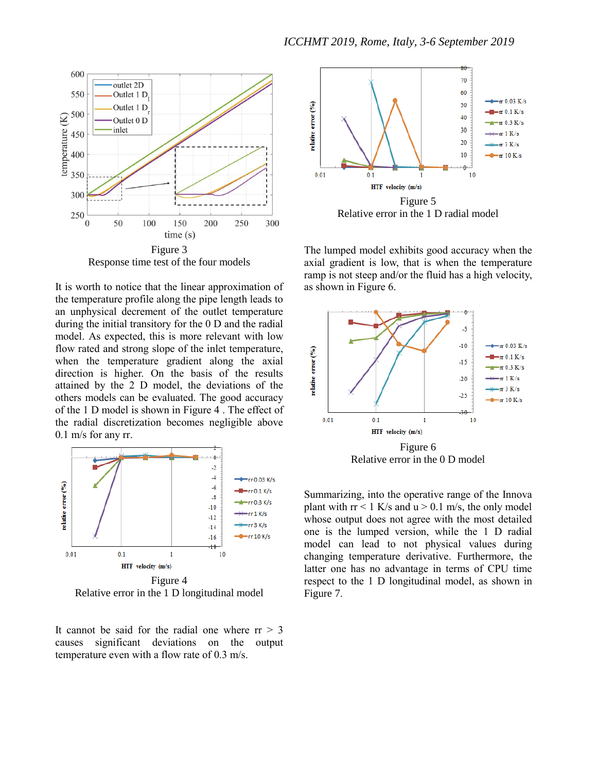

<span id="page-6-0"></span>Response time test of the four models

It is worth to notice that the linear approximation of the temperature profile along the pipe length leads to an unphysical decrement of the outlet temperature during the initial transitory for the 0 D and the radial model. As expected, this is more relevant with low flow rated and strong slope of the inlet temperature, when the temperature gradient along the axial direction is higher. On the basis of the results attained by the 2 D model, the deviations of the others models can be evaluated. The good accuracy of the 1 D model is shown in [Figure 4](#page-6-1) . The effect of the radial discretization becomes negligible above 0.1 m/s for any rr.



<span id="page-6-1"></span>Relative error in the 1 D longitudinal model





The lumped model exhibits good accuracy when the axial gradient is low, that is when the temperature ramp is not steep and/or the fluid has a high velocity, as shown in [Figure 6.](#page-6-2)



<span id="page-6-2"></span>Relative error in the 0 D model

Summarizing, into the operative range of the Innova plant with  $rr < 1$  K/s and  $u > 0.1$  m/s, the only model whose output does not agree with the most detailed one is the lumped version, while the 1 D radial model can lead to not physical values during changing temperature derivative. Furthermore, the latter one has no advantage in terms of CPU time respect to the 1 D longitudinal model, as shown in [Figure 7.](#page-7-0)